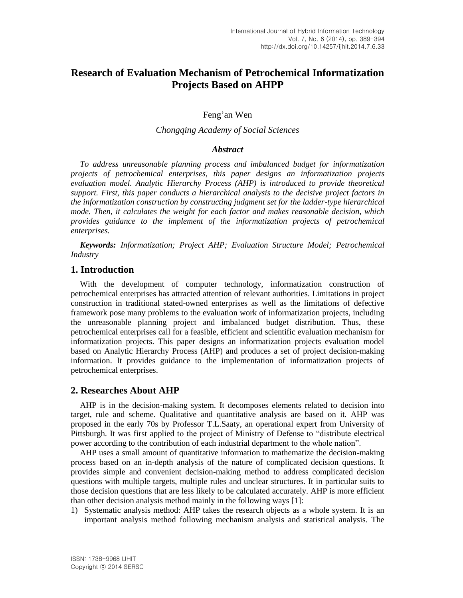# **Research of Evaluation Mechanism of Petrochemical Informatization Projects Based on AHPP**

Feng'an Wen

#### *Chongqing Academy of Social Sciences*

### *Abstract*

*To address unreasonable planning process and imbalanced budget for informatization projects of petrochemical enterprises, this paper designs an informatization projects evaluation model. Analytic Hierarchy Process (AHP) is introduced to provide theoretical support. First, this paper conducts a hierarchical analysis to the decisive project factors in the informatization construction by constructing judgment set for the ladder-type hierarchical mode. Then, it calculates the weight for each factor and makes reasonable decision, which provides guidance to the implement of the informatization projects of petrochemical enterprises.*

*Keywords: Informatization; Project AHP; Evaluation Structure Model; Petrochemical Industry*

### **1. Introduction**

With the development of computer technology, informatization construction of petrochemical enterprises has attracted attention of relevant authorities. Limitations in project construction in traditional stated-owned enterprises as well as the limitations of defective framework pose many problems to the evaluation work of informatization projects, including the unreasonable planning project and imbalanced budget distribution. Thus, these petrochemical enterprises call for a feasible, efficient and scientific evaluation mechanism for informatization projects. This paper designs an informatization projects evaluation model based on Analytic Hierarchy Process (AHP) and produces a set of project decision-making information. It provides guidance to the implementation of informatization projects of petrochemical enterprises.

### **2. Researches About AHP**

AHP is in the decision-making system. It decomposes elements related to decision into target, rule and scheme. Qualitative and quantitative analysis are based on it. AHP was proposed in the early 70s by Professor T.L.Saaty, an operational expert from University of Pittsburgh. It was first applied to the project of Ministry of Defense to "distribute electrical power according to the contribution of each industrial department to the whole nation".

AHP uses a small amount of quantitative information to mathematize the decision-making process based on an in-depth analysis of the nature of complicated decision questions. It provides simple and convenient decision-making method to address complicated decision questions with multiple targets, multiple rules and unclear structures. It in particular suits to those decision questions that are less likely to be calculated accurately. AHP is more efficient than other decision analysis method mainly in the following ways [1]:

1) Systematic analysis method: AHP takes the research objects as a whole system. It is an important analysis method following mechanism analysis and statistical analysis. The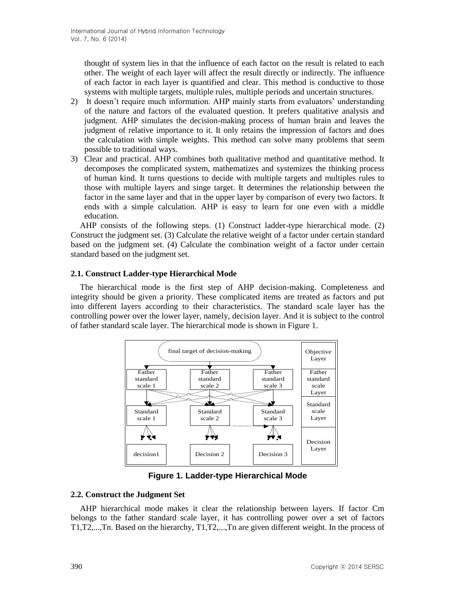thought of system lies in that the influence of each factor on the result is related to each other. The weight of each layer will affect the result directly or indirectly. The influence of each factor in each layer is quantified and clear. This method is conductive to those systems with multiple targets, multiple rules, multiple periods and uncertain structures.

- 2) It doesn't require much information. AHP mainly starts from evaluators' understanding of the nature and factors of the evaluated question. It prefers qualitative analysis and judgment. AHP simulates the decision-making process of human brain and leaves the judgment of relative importance to it. It only retains the impression of factors and does the calculation with simple weights. This method can solve many problems that seem possible to traditional ways.
- 3) Clear and practical. AHP combines both qualitative method and quantitative method. It decomposes the complicated system, mathematizes and systemizes the thinking process of human kind. It turns questions to decide with multiple targets and multiples rules to those with multiple layers and singe target. It determines the relationship between the factor in the same layer and that in the upper layer by comparison of every two factors. It ends with a simple calculation. AHP is easy to learn for one even with a middle education.

AHP consists of the following steps. (1) Construct ladder-type hierarchical mode. (2) Construct the judgment set. (3) Calculate the relative weight of a factor under certain standard based on the judgment set. (4) Calculate the combination weight of a factor under certain standard based on the judgment set.

### **2.1. Construct Ladder-type Hierarchical Mode**

The hierarchical mode is the first step of AHP decision-making. Completeness and integrity should be given a priority. These complicated items are treated as factors and put into different layers according to their characteristics. The standard scale layer has the controlling power over the lower layer, namely, decision layer. And it is subject to the control of father standard scale layer. The hierarchical mode is shown in Figure 1.



**Figure 1. Ladder-type Hierarchical Mode**

### **2.2. Construct the Judgment Set**

AHP hierarchical mode makes it clear the relationship between layers. If factor Cm belongs to the father standard scale layer, it has controlling power over a set of factors T1,T2,...,Tn. Based on the hierarchy, T1,T2,...,Tn are given different weight. In the process of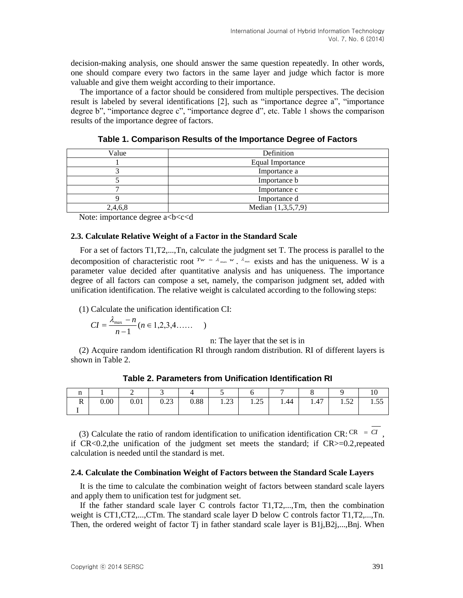decision-making analysis, one should answer the same question repeatedly. In other words, one should compare every two factors in the same layer and judge which factor is more valuable and give them weight according to their importance.

The importance of a factor should be considered from multiple perspectives. The decision result is labeled by several identifications [2], such as "importance degree a", "importance degree b", "importance degree c", "importance degree d", etc. Table 1 shows the comparison results of the importance degree of factors.

| Value   | Definition         |  |  |  |
|---------|--------------------|--|--|--|
|         | Equal Importance   |  |  |  |
|         | Importance a       |  |  |  |
|         | Importance b       |  |  |  |
|         | Importance c       |  |  |  |
|         | Importance d       |  |  |  |
| 2,4,6,8 | Median {1,3,5,7,9} |  |  |  |

**Table 1. Comparison Results of the Importance Degree of Factors**

Note: importance degree a<br/>b<c<d

#### **2.3. Calculate Relative Weight of a Factor in the Standard Scale**

For a set of factors T1,T2,...,Tn, calculate the judgment set T. The process is parallel to the decomposition of characteristic root  $Tw = \lambda_{\max} w$ .  $\lambda_{\max}$  exists and has the uniqueness. W is a parameter value decided after quantitative analysis and has uniqueness. The importance degree of all factors can compose a set, namely, the comparison judgment set, added with unification identification. The relative weight is calculated according to the following steps:

(1) Calculate the unification identification CI:

$$
CI = \frac{\lambda_{\max} - n}{n - 1} (n \in 1, 2, 3, 4, ....)
$$

n: The layer that the set is in

(2) Acquire random identification RI through random distribution. RI of different layers is shown in Table 2.

|                    |      | . .                         |                           |      |                 |                  |      |      |                            |              |
|--------------------|------|-----------------------------|---------------------------|------|-----------------|------------------|------|------|----------------------------|--------------|
| $\mathbf{r}$<br>17 | 0.00 | $\Omega$ $\Omega$ 1<br>V.VI | $\cap$ $\cap$<br>$v.\sim$ | 0.88 | $\cap$<br>ر ے . | $\gamma$<br>1.ZJ | 1.44 | 1.47 | $\epsilon$<br>1.J <i>L</i> | $ -$<br>1.JJ |
|                    |      |                             |                           |      |                 |                  |      |      |                            |              |

**Table 2. Parameters from Unification Identification RI**

(3) Calculate the ratio of random identification to unification identification CR: CR  $= C I$ , if  $CR < 0.2$ , the unification of the judgment set meets the standard; if  $CR > = 0.2$ , repeated calculation is needed until the standard is met.

#### **2.4. Calculate the Combination Weight of Factors between the Standard Scale Layers**

It is the time to calculate the combination weight of factors between standard scale layers and apply them to unification test for judgment set.

If the father standard scale layer C controls factor T1,T2,...,Tm, then the combination weight is CT1,CT2,...,CTm. The standard scale layer D below C controls factor T1,T2,...,Tn. Then, the ordered weight of factor  $Tj$  in father standard scale layer is  $B1j, B2j, \ldots, Bnj$ . When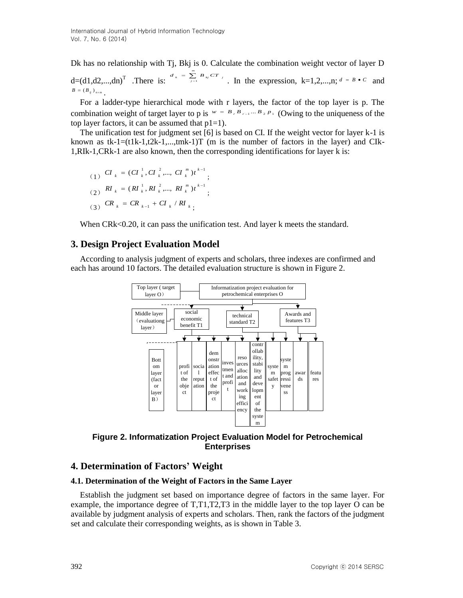Dk has no relationship with Tj, Bkj is 0. Calculate the combination weight vector of layer D d=(d1,d2,...,dn)<sup>T</sup>. There is:  $\frac{d_k}{dx} = \sum_{j=1}^{m}$  $d_k = \sum_{j=1}^k B_{kj} cT_j$ . In the expression, k=1,2,...,n;  $d = B \cdot C$  and  $B = (B_{ij})_{n \times m}$ .

For a ladder-type hierarchical mode with r layers, the factor of the top layer is p. The combination weight of target layer to p is  $w = B_{r} B_{r-1} ... B_{r} P_{r}$  (Owing to the uniqueness of the top layer factors, it can be assumed that  $p1=1$ .

The unification test for judgment set [6] is based on CI. If the weight vector for layer k-1 is known as  $tk-1=(t1k-1,t2k-1,...,tmk-1)T$  (m is the number of factors in the layer) and CIk-1,RIk-1,CRk-1 are also known, then the corresponding identifications for layer k is:

(1) 
$$
CI_k = (CI_k^1, CI_k^2, ..., CI_k^m)t^{k-1}
$$
;  
\n(2)  $RI_k = (RI_k^1, RI_k^2, ..., RI_k^m)t^{k-1}$ ;  
\n(3)  $CR_k = CR_{k-1} + CI_k / RI_{k}$ ;

When CRk<0.20, it can pass the unification test. And layer k meets the standard.

### **3. Design Project Evaluation Model**

According to analysis judgment of experts and scholars, three indexes are confirmed and each has around 10 factors. The detailed evaluation structure is shown in Figure 2.



**Figure 2. Informatization Project Evaluation Model for Petrochemical Enterprises**

# **4. Determination of Factors' Weight**

#### **4.1. Determination of the Weight of Factors in the Same Layer**

Establish the judgment set based on importance degree of factors in the same layer. For example, the importance degree of T,T1,T2,T3 in the middle layer to the top layer O can be available by judgment analysis of experts and scholars. Then, rank the factors of the judgment set and calculate their corresponding weights, as is shown in Table 3.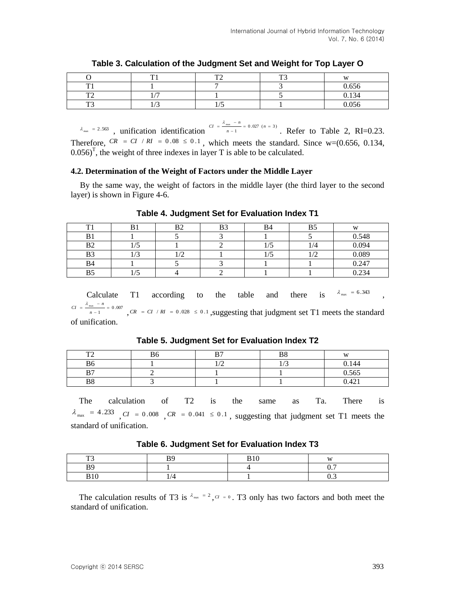|                       | TT1                      | $T^{\prime}$                  | $T^{\bullet}$ | $\mathbf{X}$   |
|-----------------------|--------------------------|-------------------------------|---------------|----------------|
| T13                   |                          |                               |               | 0.656          |
| $\mathbf{m}$ $\alpha$ | $\overline{a}$           |                               |               | 0.134          |
| $\mathbf{m}$          | $\sqrt{2}$<br>$1/\omega$ | $\overline{\phantom{0}}$<br>ັ |               | 0.056<br>0.000 |

 $\lambda_{\text{max}} = 2.563$ , unification identification  $\frac{CI}{n-1} = 0.027$  (n = 3)  $=\frac{\lambda_{\max} - n}{n - 1} = 0.027$  (*n*  $CI = \frac{\lambda_{\text{max}} - n}{\lambda_{\text{max}} - n}$ . Refer to Table 2, RI=0.23. Therefore,  $CR = CI / RI = 0.08 \le 0.1$ , which meets the standard. Since w=(0.656, 0.134,  $0.056$ <sup>T</sup>, the weight of three indexes in layer T is able to be calculated.

### **4.2. Determination of the Weight of Factors under the Middle Layer**

By the same way, the weight of factors in the middle layer (the third layer to the second layer) is shown in Figure 4-6.

| m              |                   | Β2   | B3 | <b>B4</b> |     | W     |
|----------------|-------------------|------|----|-----------|-----|-------|
| D              |                   |      |    |           |     | 0.548 |
| B <sub>2</sub> | $\sqrt{2}$<br>ر ر |      |    |           | 1/4 | 0.094 |
| B3             | $\sqrt{2}$<br>ر_∍ | - 12 |    |           |     | 0.089 |
| B4             |                   |      |    |           |     | 0.247 |
|                | $\sqrt{2}$<br>ູ   |      |    |           |     | 0.234 |

### **Table 4. Judgment Set for Evaluation Index T1**

Calculate T1 according to the table and there is  $\lambda_{\text{max}} = 6.343$  $= \frac{\lambda_{\max} - m}{n-1}$  $CI = \frac{\lambda_{\text{max}} - n}{\lambda_{\text{max}} - n}$ 

 $\frac{m x}{n-1}$  = 0.007  $, CR = CI / RI = 0.028 \le 0.1$ , suggesting that judgment set T1 meets the standard of unification.

**Table 5. Judgment Set for Evaluation Index T2**

| $\mathbf{m}$   | B6 | $\mathbf{D}$ | DΩ<br>DΣ       | <b>AX</b> |
|----------------|----|--------------|----------------|-----------|
| B6             |    | $\sim$       | $\sim$<br>11 J | 0.144     |
| $\mathbf{D}$   |    |              |                | 0.565     |
| B <sub>8</sub> |    |              |                | 0.421     |

The calculation of T2 is the same as Ta. There is  $\lambda_{\text{max}}$  = 4.233 CI = 0.008 CR = 0.041  $\leq$  0.1, suggesting that judgment set T1 meets the standard of unification.

**Table 6. Judgment Set for Evaluation Index T3**

| $\mathbf{m}$<br>- -             | D٥<br>D    | D 1 0<br>ט | <b>TTT</b>          |
|---------------------------------|------------|------------|---------------------|
| <b>RQ</b>                       |            |            | $\sim$ $\sim$<br>v. |
| $\mathbf{D}$ 1 $\alpha$<br>ט גע | $\epsilon$ |            | $J \cdot \cdot$     |

The calculation results of T3 is  $\lambda_{\text{max}} = 2$ ,  $CI = 0$ . T3 only has two factors and both meet the standard of unification.

,